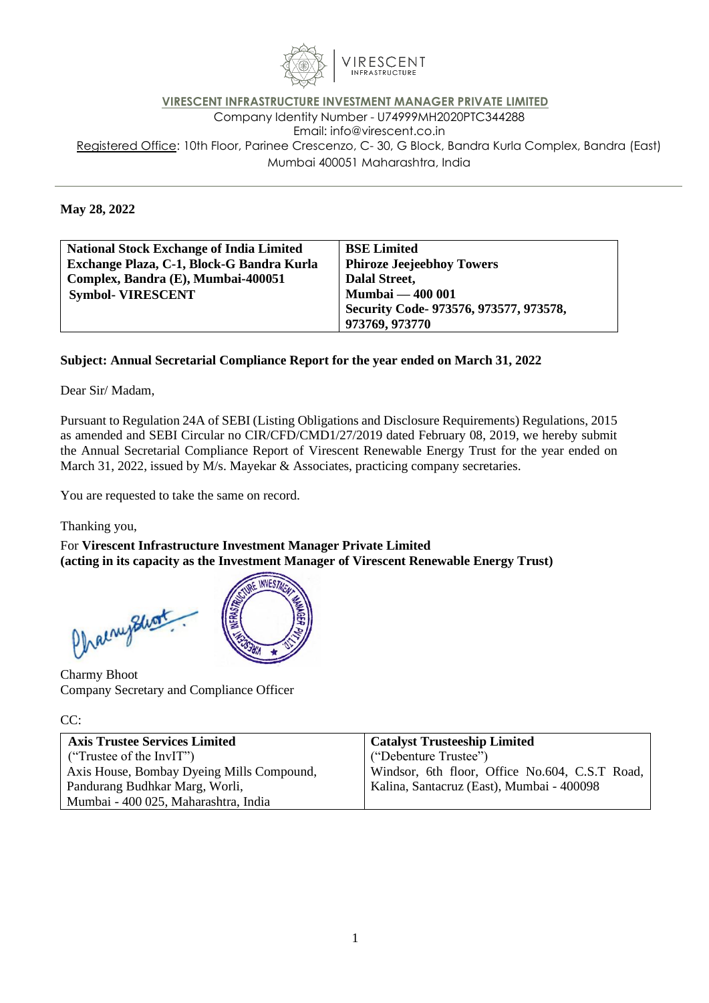

## **VIRESCENT INFRASTRUCTURE INVESTMENT MANAGER PRIVATE LIMITED** Company Identity Number - U74999MH2020PTC344288 Email: [info@virescent.co.in](mailto:info@virescent.co.in) Registered Office: 10th Floor, Parinee Crescenzo, C- 30, G Block, Bandra Kurla Complex, Bandra (East) Mumbai 400051 Maharashtra, India

## **May 28, 2022**

| <b>National Stock Exchange of India Limited</b> | <b>BSE Limited</b>                     |
|-------------------------------------------------|----------------------------------------|
| Exchange Plaza, C-1, Block-G Bandra Kurla       | <b>Phiroze Jeejeebhoy Towers</b>       |
| Complex, Bandra (E), Mumbai-400051              | Dalal Street,                          |
| <b>Symbol- VIRESCENT</b>                        | <b>Mumbai — 400 001</b>                |
|                                                 | Security Code- 973576, 973577, 973578, |
|                                                 | 973769, 973770                         |

## **Subject: Annual Secretarial Compliance Report for the year ended on March 31, 2022**

## Dear Sir/ Madam,

Pursuant to Regulation 24A of SEBI (Listing Obligations and Disclosure Requirements) Regulations, 2015 as amended and SEBI Circular no CIR/CFD/CMD1/27/2019 dated February 08, 2019, we hereby submit the Annual Secretarial Compliance Report of Virescent Renewable Energy Trust for the year ended on March 31, 2022, issued by M/s. Mayekar & Associates, practicing company secretaries.

You are requested to take the same on record.

Thanking you,

For **Virescent Infrastructure Investment Manager Private Limited (acting in its capacity as the Investment Manager of Virescent Renewable Energy Trust)**

**INVESTA** Chainyshort

Charmy Bhoot Company Secretary and Compliance Officer

CC:

| <b>Axis Trustee Services Limited</b>      | Catalyst Trusteeship Limited                   |
|-------------------------------------------|------------------------------------------------|
| ("Trustee of the InvIT")                  | ("Debenture Trustee")                          |
| Axis House, Bombay Dyeing Mills Compound, | Windsor, 6th floor, Office No.604, C.S.T Road, |
| Pandurang Budhkar Marg, Worli,            | Kalina, Santacruz (East), Mumbai - 400098      |
| Mumbai - 400 025, Maharashtra, India      |                                                |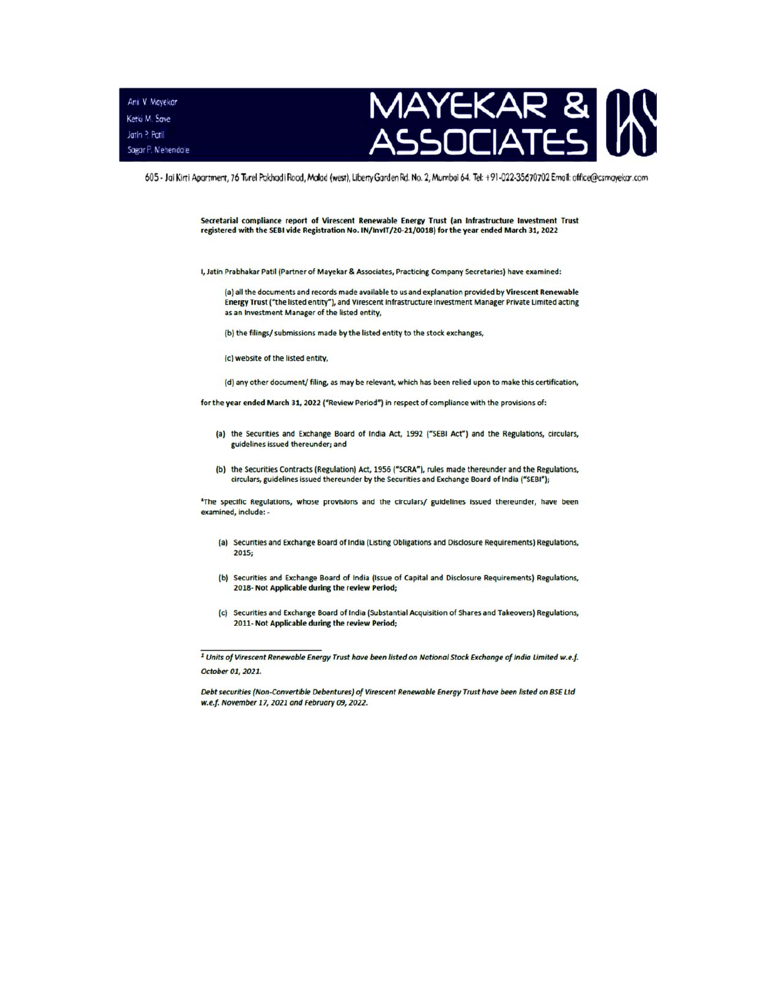Anil V. Mayekar Ketki M. Save Jatin ? Patil Sagar P. Mehendale



605 - Jai Kirti Apartment, 76 Turel Pakhadi Rood, Malad (west), Liberty Garden Rd. No. 2, Mumbai 64. Tel: +91-022-35670702 Email: office@csmayekar.com

Secretarial compliance report of Virescent Renewable Energy Trust (an Infrastructure Investment Trust registered with the SEBI vide Registration No. IN/InvIT/20-21/0018) for the year ended March 31, 2022

I, Jatin Prabhakar Patil (Partner of Mayekar & Associates, Practicing Company Secretaries) have examined:

(a) all the documents and records made available to us and explanation provided by Virescent Renewable Energy Trust ("the listed entity"), and Virescent Infrastructure Investment Manager Private Limited acting as an Investment Manager of the listed entity,

(b) the filings/ submissions made by the listed entity to the stock exchanges,

- (c) website of the listed entity.
- (d) any other document/filing, as may be relevant, which has been relied upon to make this certification,

for the year ended March 31, 2022 ("Review Period") in respect of compliance with the provisions of:

- (a) the Securities and Exchange Board of India Act, 1992 ("SEBI Act") and the Regulations, circulars, guidelines issued thereunder; and
- (b) the Securities Contracts (Regulation) Act, 1956 ("SCRA"), rules made thereunder and the Regulations, circulars, guidelines issued thereunder by the Securities and Exchange Board of India ("SEBI");

<sup>1</sup>The specific Regulations, whose provisions and the circulars/ guidelines issued thereunder, have been examined, include: -

- (a) Securities and Exchange Board of India (Listing Obligations and Disclosure Requirements) Regulations, 2015:
- (b) Securities and Exchange Board of India (Issue of Capital and Disclosure Requirements) Regulations, 2018- Not Applicable during the review Period;
- (c) Securities and Exchange Board of India (Substantial Acquisition of Shares and Takeovers) Regulations, 2011- Not Applicable during the review Period;

<sup>&</sup>lt;sup>1</sup> Units of Virescent Renewable Energy Trust have been listed on National Stock Exchange of India Limited w.e.f. October 01, 2021.

Debt securities (Non-Convertible Debentures) of Virescent Renewable Energy Trust have been listed on BSE Ltd w.e.f. November 17, 2021 and February 09, 2022.